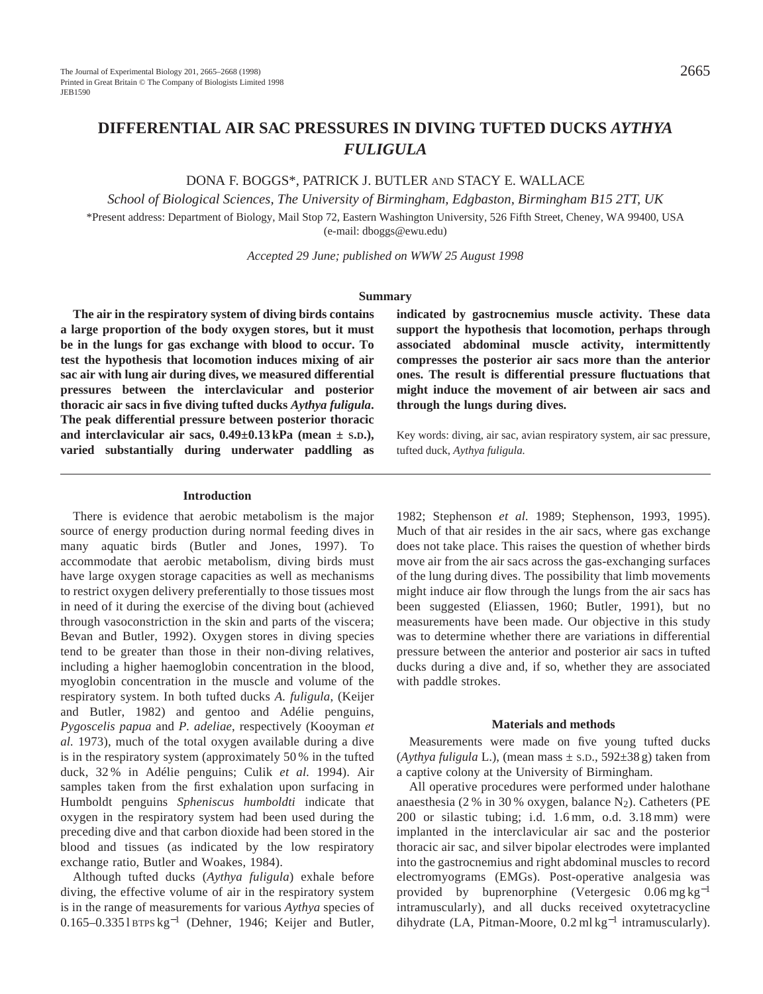# **DIFFERENTIAL AIR SAC PRESSURES IN DIVING TUFTED DUCKS** *AYTHYA FULIGULA*

DONA F. BOGGS\*, PATRICK J. BUTLER AND STACY E. WALLACE

*School of Biological Sciences, The University of Birmingham, Edgbaston, Birmingham B15 2TT, UK*

\*Present address: Department of Biology, Mail Stop 72, Eastern Washington University, 526 Fifth Street, Cheney, WA 99400, USA (e-mail: dboggs@ewu.edu)

*Accepted 29 June; published on WWW 25 August 1998*

#### **Summary**

**The air in the respiratory system of diving birds contains a large proportion of the body oxygen stores, but it must be in the lungs for gas exchange with blood to occur. To test the hypothesis that locomotion induces mixing of air sac air with lung air during dives, we measured differential pressures between the interclavicular and posterior thoracic air sacs in five diving tufted ducks** *Aythya fuligula***. The peak differential pressure between posterior thoracic and interclavicular air sacs, 0.49±0.13 kPa (mean ± S.D.), varied substantially during underwater paddling as**

**indicated by gastrocnemius muscle activity. These data support the hypothesis that locomotion, perhaps through associated abdominal muscle activity, intermittently compresses the posterior air sacs more than the anterior ones. The result is differential pressure fluctuations that might induce the movement of air between air sacs and through the lungs during dives.**

Key words: diving, air sac, avian respiratory system, air sac pressure, tufted duck, *Aythya fuligula.*

### **Introduction**

There is evidence that aerobic metabolism is the major source of energy production during normal feeding dives in many aquatic birds (Butler and Jones, 1997). To accommodate that aerobic metabolism, diving birds must have large oxygen storage capacities as well as mechanisms to restrict oxygen delivery preferentially to those tissues most in need of it during the exercise of the diving bout (achieved through vasoconstriction in the skin and parts of the viscera; Bevan and Butler, 1992). Oxygen stores in diving species tend to be greater than those in their non-diving relatives, including a higher haemoglobin concentration in the blood, myoglobin concentration in the muscle and volume of the respiratory system. In both tufted ducks *A. fuligula*, (Keijer and Butler, 1982) and gentoo and Adélie penguins, *Pygoscelis papua* and *P. adeliae*, respectively (Kooyman *et al.* 1973), much of the total oxygen available during a dive is in the respiratory system (approximately 50 % in the tufted duck, 32 % in Adélie penguins; Culik *et al.* 1994). Air samples taken from the first exhalation upon surfacing in Humboldt penguins *Spheniscus humboldti* indicate that oxygen in the respiratory system had been used during the preceding dive and that carbon dioxide had been stored in the blood and tissues (as indicated by the low respiratory exchange ratio, Butler and Woakes, 1984).

Although tufted ducks (*Aythya fuligula*) exhale before diving, the effective volume of air in the respiratory system is in the range of measurements for various *Aythya* species of 0.165–0.335 l BTPS kg−<sup>1</sup> (Dehner, 1946; Keijer and Butler,

1982; Stephenson *et al.* 1989; Stephenson, 1993, 1995). Much of that air resides in the air sacs, where gas exchange does not take place. This raises the question of whether birds move air from the air sacs across the gas-exchanging surfaces of the lung during dives. The possibility that limb movements might induce air flow through the lungs from the air sacs has been suggested (Eliassen, 1960; Butler, 1991), but no measurements have been made. Our objective in this study was to determine whether there are variations in differential pressure between the anterior and posterior air sacs in tufted ducks during a dive and, if so, whether they are associated with paddle strokes.

### **Materials and methods**

Measurements were made on five young tufted ducks (*Aythya fuligula* L.), (mean mass  $\pm$  s.D., 592 $\pm$ 38 g) taken from a captive colony at the University of Birmingham.

All operative procedures were performed under halothane anaesthesia (2 % in 30 % oxygen, balance  $N_2$ ). Catheters (PE 200 or silastic tubing; i.d. 1.6 mm, o.d. 3.18 mm) were implanted in the interclavicular air sac and the posterior thoracic air sac, and silver bipolar electrodes were implanted into the gastrocnemius and right abdominal muscles to record electromyograms (EMGs). Post-operative analgesia was provided by buprenorphine (Vetergesic 0.06 mg kg−<sup>1</sup> intramuscularly), and all ducks received oxytetracycline dihydrate (LA, Pitman-Moore, 0.2 ml kg−<sup>1</sup> intramuscularly).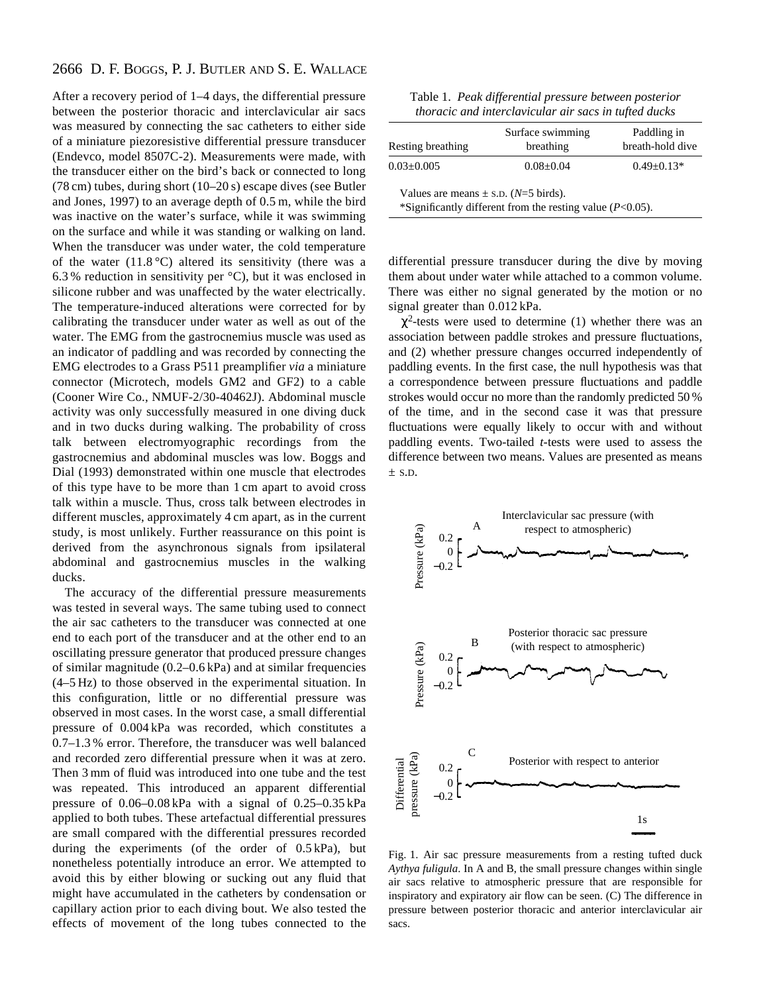# 2666 D. F. BOGGS, P. J. BUTLER AND S. E. WALLACE

After a recovery period of 1–4 days, the differential pressure between the posterior thoracic and interclavicular air sacs was measured by connecting the sac catheters to either side of a miniature piezoresistive differential pressure transducer (Endevco, model 8507C-2). Measurements were made, with the transducer either on the bird's back or connected to long (78 cm) tubes, during short (10–20 s) escape dives (see Butler and Jones, 1997) to an average depth of 0.5 m, while the bird was inactive on the water's surface, while it was swimming on the surface and while it was standing or walking on land. When the transducer was under water, the cold temperature of the water  $(11.8 \degree C)$  altered its sensitivity (there was a 6.3 % reduction in sensitivity per °C), but it was enclosed in silicone rubber and was unaffected by the water electrically. The temperature-induced alterations were corrected for by calibrating the transducer under water as well as out of the water. The EMG from the gastrocnemius muscle was used as an indicator of paddling and was recorded by connecting the EMG electrodes to a Grass P511 preamplifier *via* a miniature connector (Microtech, models GM2 and GF2) to a cable (Cooner Wire Co., NMUF-2/30-40462J). Abdominal muscle activity was only successfully measured in one diving duck and in two ducks during walking. The probability of cross talk between electromyographic recordings from the gastrocnemius and abdominal muscles was low. Boggs and Dial (1993) demonstrated within one muscle that electrodes of this type have to be more than 1 cm apart to avoid cross talk within a muscle. Thus, cross talk between electrodes in different muscles, approximately 4 cm apart, as in the current study, is most unlikely. Further reassurance on this point is derived from the asynchronous signals from ipsilateral abdominal and gastrocnemius muscles in the walking ducks.

The accuracy of the differential pressure measurements was tested in several ways. The same tubing used to connect the air sac catheters to the transducer was connected at one end to each port of the transducer and at the other end to an oscillating pressure generator that produced pressure changes of similar magnitude (0.2–0.6 kPa) and at similar frequencies (4–5 Hz) to those observed in the experimental situation. In this configuration, little or no differential pressure was observed in most cases. In the worst case, a small differential pressure of 0.004 kPa was recorded, which constitutes a 0.7–1.3 % error. Therefore, the transducer was well balanced and recorded zero differential pressure when it was at zero. Then 3 mm of fluid was introduced into one tube and the test was repeated. This introduced an apparent differential pressure of 0.06–0.08 kPa with a signal of 0.25–0.35 kPa applied to both tubes. These artefactual differential pressures are small compared with the differential pressures recorded during the experiments (of the order of 0.5 kPa), but nonetheless potentially introduce an error. We attempted to avoid this by either blowing or sucking out any fluid that might have accumulated in the catheters by condensation or capillary action prior to each diving bout. We also tested the effects of movement of the long tubes connected to the

| Table 1. Peak differential pressure between posterior |  |
|-------------------------------------------------------|--|
| thoracic and interclavicular air sacs in tufted ducks |  |

| Resting breathing                        | Surface swimming<br>breathing                                | Paddling in<br>breath-hold dive |
|------------------------------------------|--------------------------------------------------------------|---------------------------------|
| $0.03 \pm 0.005$                         | $0.08 + 0.04$                                                | $0.49 \pm 0.13*$                |
| Values are means $\pm$ s.D. (N=5 birds). | *Significantly different from the resting value $(P<0.05)$ . |                                 |

differential pressure transducer during the dive by moving them about under water while attached to a common volume. There was either no signal generated by the motion or no signal greater than 0.012 kPa.

 $\chi^2$ -tests were used to determine (1) whether there was an association between paddle strokes and pressure fluctuations, and (2) whether pressure changes occurred independently of paddling events. In the first case, the null hypothesis was that a correspondence between pressure fluctuations and paddle strokes would occur no more than the randomly predicted 50 % of the time, and in the second case it was that pressure fluctuations were equally likely to occur with and without paddling events. Two-tailed *t*-tests were used to assess the difference between two means. Values are presented as means  $\pm$  S.D.



Fig. 1. Air sac pressure measurements from a resting tufted duck *Aythya fuligula*. In A and B, the small pressure changes within single air sacs relative to atmospheric pressure that are responsible for inspiratory and expiratory air flow can be seen. (C) The difference in pressure between posterior thoracic and anterior interclavicular air sacs.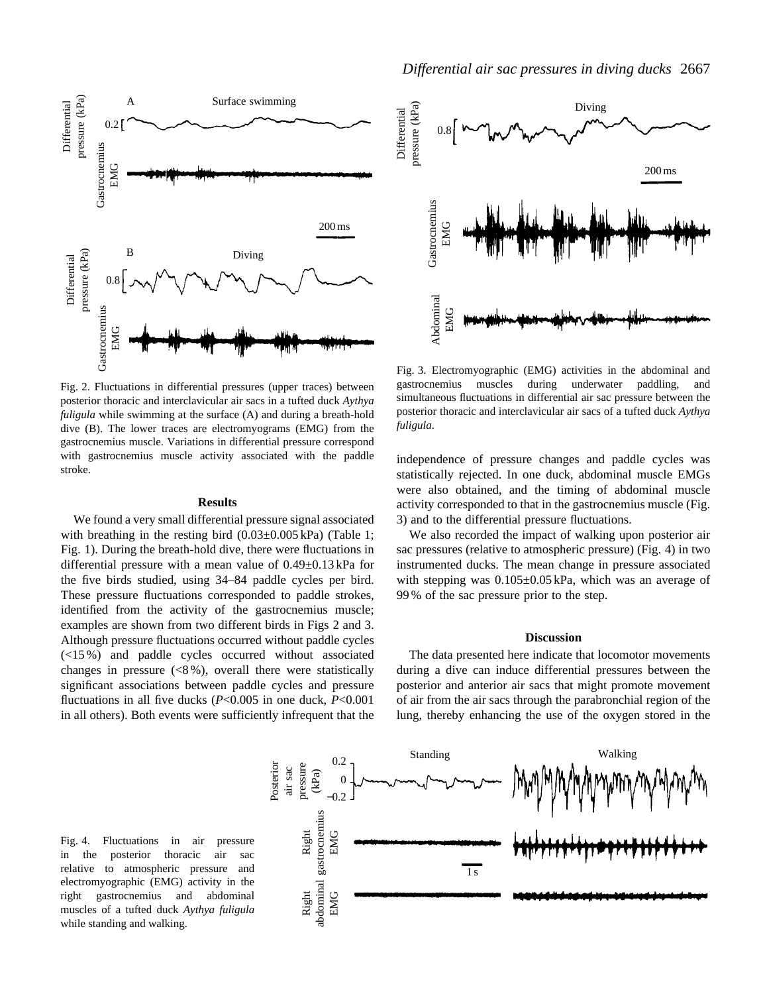

Fig. 2. Fluctuations in differential pressures (upper traces) between posterior thoracic and interclavicular air sacs in a tufted duck *Aythya fuligula* while swimming at the surface (A) and during a breath-hold dive (B). The lower traces are electromyograms (EMG) from the gastrocnemius muscle. Variations in differential pressure correspond with gastrocnemius muscle activity associated with the paddle stroke.

### **Results**

We found a very small differential pressure signal associated with breathing in the resting bird  $(0.03\pm0.005 \text{ kPa})$  (Table 1; Fig. 1). During the breath-hold dive, there were fluctuations in differential pressure with a mean value of 0.49±0.13 kPa for the five birds studied, using 34–84 paddle cycles per bird. These pressure fluctuations corresponded to paddle strokes, identified from the activity of the gastrocnemius muscle; examples are shown from two different birds in Figs 2 and 3. Although pressure fluctuations occurred without paddle cycles (<15 %) and paddle cycles occurred without associated changes in pressure (<8 %), overall there were statistically significant associations between paddle cycles and pressure fluctuations in all five ducks (*P*<0.005 in one duck, *P*<0.001 in all others). Both events were sufficiently infrequent that the



Fig. 3. Electromyographic (EMG) activities in the abdominal and gastrocnemius muscles during underwater paddling, and simultaneous fluctuations in differential air sac pressure between the posterior thoracic and interclavicular air sacs of a tufted duck *Aythya fuligula*.

independence of pressure changes and paddle cycles was statistically rejected. In one duck, abdominal muscle EMGs were also obtained, and the timing of abdominal muscle activity corresponded to that in the gastrocnemius muscle (Fig. 3) and to the differential pressure fluctuations.

We also recorded the impact of walking upon posterior air sac pressures (relative to atmospheric pressure) (Fig. 4) in two instrumented ducks. The mean change in pressure associated with stepping was  $0.105\pm0.05$  kPa, which was an average of 99 % of the sac pressure prior to the step.

#### **Discussion**

The data presented here indicate that locomotor movements during a dive can induce differential pressures between the posterior and anterior air sacs that might promote movement of air from the air sacs through the parabronchial region of the lung, thereby enhancing the use of the oxygen stored in the

Fig. 4. Fluctuations in air pressure in the posterior thoracic air sac relative to atmospheric pressure and electromyographic (EMG) activity in the right gastrocnemius and abdominal muscles of a tufted duck *Aythya fuligula* while standing and walking.